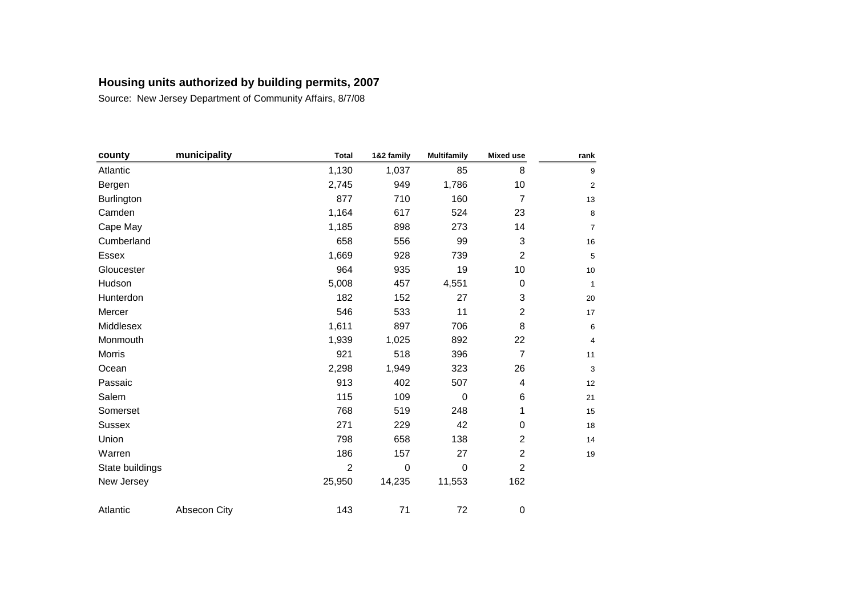| county          | municipality | <b>Total</b>   | 1&2 family  | <b>Multifamily</b> | <b>Mixed use</b> | rank           |
|-----------------|--------------|----------------|-------------|--------------------|------------------|----------------|
| Atlantic        |              | 1,130          | 1,037       | 85                 | 8                | 9              |
| Bergen          |              | 2,745          | 949         | 1,786              | 10               | $\overline{a}$ |
| Burlington      |              | 877            | 710         | 160                | $\overline{7}$   | 13             |
| Camden          |              | 1,164          | 617         | 524                | 23               | 8              |
| Cape May        |              | 1,185          | 898         | 273                | 14               | 7              |
| Cumberland      |              | 658            | 556         | 99                 | 3                | 16             |
| <b>Essex</b>    |              | 1,669          | 928         | 739                | $\overline{c}$   | 5              |
| Gloucester      |              | 964            | 935         | 19                 | 10               | 10             |
| Hudson          |              | 5,008          | 457         | 4,551              | 0                | 1              |
| Hunterdon       |              | 182            | 152         | 27                 | 3                | 20             |
| Mercer          |              | 546            | 533         | 11                 | $\overline{c}$   | 17             |
| Middlesex       |              | 1,611          | 897         | 706                | 8                | 6              |
| Monmouth        |              | 1,939          | 1,025       | 892                | 22               | 4              |
| Morris          |              | 921            | 518         | 396                | $\overline{7}$   | 11             |
| Ocean           |              | 2,298          | 1,949       | 323                | 26               | 3              |
| Passaic         |              | 913            | 402         | 507                | 4                | 12             |
| Salem           |              | 115            | 109         | $\mathbf 0$        | 6                | 21             |
| Somerset        |              | 768            | 519         | 248                | 1                | 15             |
| <b>Sussex</b>   |              | 271            | 229         | 42                 | $\pmb{0}$        | 18             |
| Union           |              | 798            | 658         | 138                | $\overline{c}$   | 14             |
| Warren          |              | 186            | 157         | 27                 | $\overline{c}$   | 19             |
| State buildings |              | $\overline{2}$ | $\mathbf 0$ | $\mathbf 0$        | $\overline{c}$   |                |
| New Jersey      |              | 25,950         | 14,235      | 11,553             | 162              |                |
| Atlantic        | Absecon City | 143            | 71          | 72                 | 0                |                |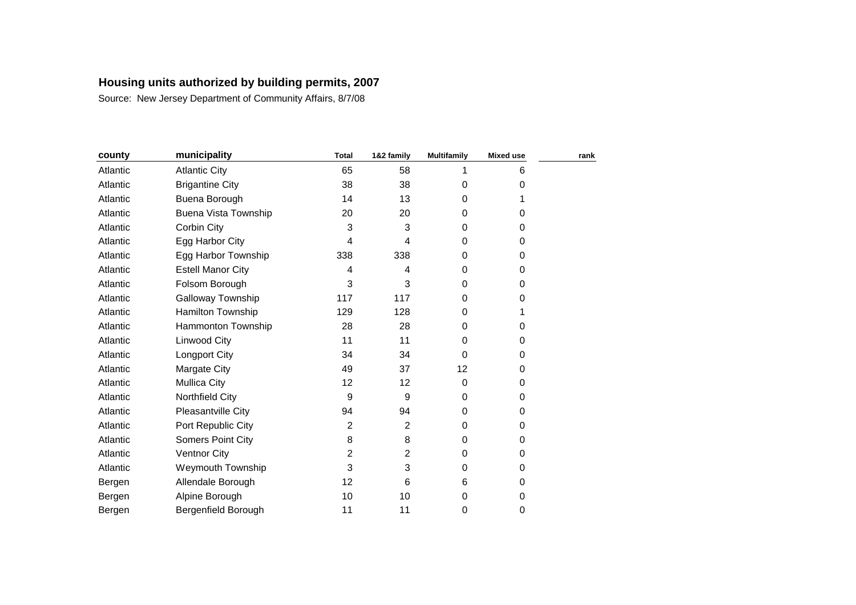|                             | <b>Total</b>   | 1&2 family     | <b>Multifamily</b> | <b>Mixed use</b> | rank |
|-----------------------------|----------------|----------------|--------------------|------------------|------|
| <b>Atlantic City</b>        | 65             | 58             |                    | 6                |      |
| <b>Brigantine City</b>      | 38             | 38             | $\Omega$           | 0                |      |
| Buena Borough               | 14             | 13             | 0                  |                  |      |
| <b>Buena Vista Township</b> | 20             | 20             | 0                  | 0                |      |
| Corbin City                 | 3              | 3              | $\Omega$           | 0                |      |
| Egg Harbor City             | 4              | 4              | $\Omega$           | 0                |      |
| Egg Harbor Township         | 338            | 338            | $\Omega$           | 0                |      |
| <b>Estell Manor City</b>    | 4              | 4              | 0                  | 0                |      |
| Folsom Borough              | 3              | 3              | 0                  | 0                |      |
| Galloway Township           | 117            | 117            | $\Omega$           | 0                |      |
| Hamilton Township           | 129            | 128            | $\Omega$           | 1                |      |
| Hammonton Township          | 28             | 28             | 0                  | 0                |      |
| Linwood City                | 11             | 11             | $\Omega$           | 0                |      |
| Longport City               | 34             | 34             | $\Omega$           | 0                |      |
| Margate City                | 49             | 37             | 12                 | 0                |      |
| <b>Mullica City</b>         | 12             | 12             | 0                  | 0                |      |
| Northfield City             | 9              | 9              | 0                  | 0                |      |
| Pleasantville City          | 94             | 94             | 0                  | 0                |      |
| Port Republic City          | $\overline{c}$ | $\overline{c}$ | $\Omega$           | 0                |      |
| <b>Somers Point City</b>    | 8              | 8              | 0                  | 0                |      |
| <b>Ventnor City</b>         | $\overline{c}$ | 2              | 0                  | 0                |      |
| Weymouth Township           | 3              | 3              | 0                  | 0                |      |
| Allendale Borough           | 12             | 6              | 6                  | 0                |      |
| Alpine Borough              | 10             | 10             | 0                  | 0                |      |
| Bergenfield Borough         | 11             | 11             | 0                  | 0                |      |
|                             | municipality   |                |                    |                  |      |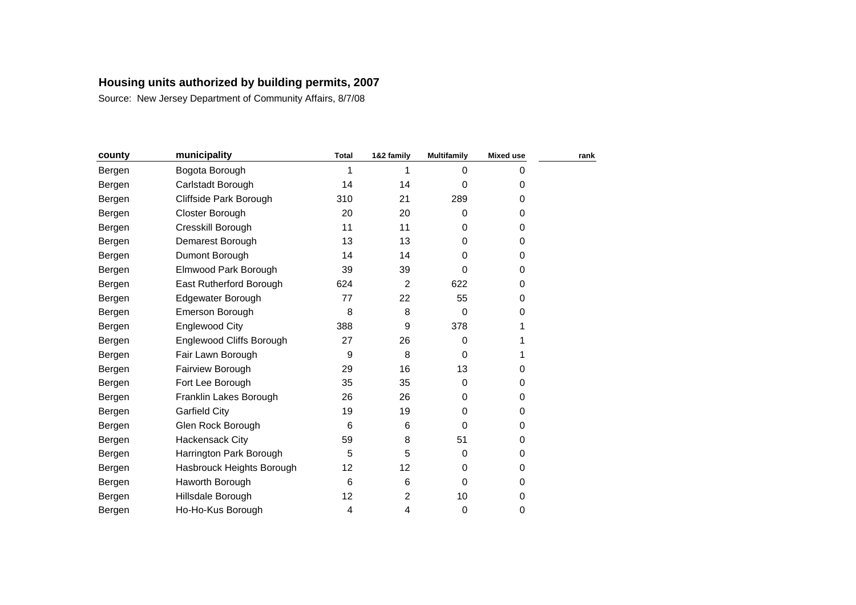| county | municipality              | <b>Total</b> | 1&2 family     | <b>Multifamily</b> | <b>Mixed use</b> | rank |
|--------|---------------------------|--------------|----------------|--------------------|------------------|------|
| Bergen | Bogota Borough            | 1            |                | $\Omega$           | 0                |      |
| Bergen | Carlstadt Borough         | 14           | 14             | $\Omega$           | 0                |      |
| Bergen | Cliffside Park Borough    | 310          | 21             | 289                | 0                |      |
| Bergen | Closter Borough           | 20           | 20             | 0                  | 0                |      |
| Bergen | Cresskill Borough         | 11           | 11             | $\Omega$           | 0                |      |
| Bergen | Demarest Borough          | 13           | 13             | $\Omega$           | 0                |      |
| Bergen | Dumont Borough            | 14           | 14             | $\Omega$           | 0                |      |
| Bergen | Elmwood Park Borough      | 39           | 39             | 0                  | 0                |      |
| Bergen | East Rutherford Borough   | 624          | $\overline{2}$ | 622                | 0                |      |
| Bergen | Edgewater Borough         | 77           | 22             | 55                 | 0                |      |
| Bergen | Emerson Borough           | 8            | 8              | $\Omega$           | 0                |      |
| Bergen | Englewood City            | 388          | 9              | 378                |                  |      |
| Bergen | Englewood Cliffs Borough  | 27           | 26             | $\Omega$           |                  |      |
| Bergen | Fair Lawn Borough         | 9            | 8              | $\Omega$           |                  |      |
| Bergen | Fairview Borough          | 29           | 16             | 13                 | 0                |      |
| Bergen | Fort Lee Borough          | 35           | 35             | $\Omega$           | 0                |      |
| Bergen | Franklin Lakes Borough    | 26           | 26             | 0                  | 0                |      |
| Bergen | <b>Garfield City</b>      | 19           | 19             | 0                  | 0                |      |
| Bergen | Glen Rock Borough         | 6            | 6              | $\Omega$           | 0                |      |
| Bergen | Hackensack City           | 59           | 8              | 51                 | 0                |      |
| Bergen | Harrington Park Borough   | 5            | 5              | $\Omega$           | 0                |      |
| Bergen | Hasbrouck Heights Borough | 12           | 12             | 0                  | 0                |      |
| Bergen | Haworth Borough           | 6            | 6              | $\Omega$           | 0                |      |
| Bergen | Hillsdale Borough         | 12           | $\overline{c}$ | 10                 | 0                |      |
| Bergen | Ho-Ho-Kus Borough         | 4            | 4              | 0                  | 0                |      |
|        |                           |              |                |                    |                  |      |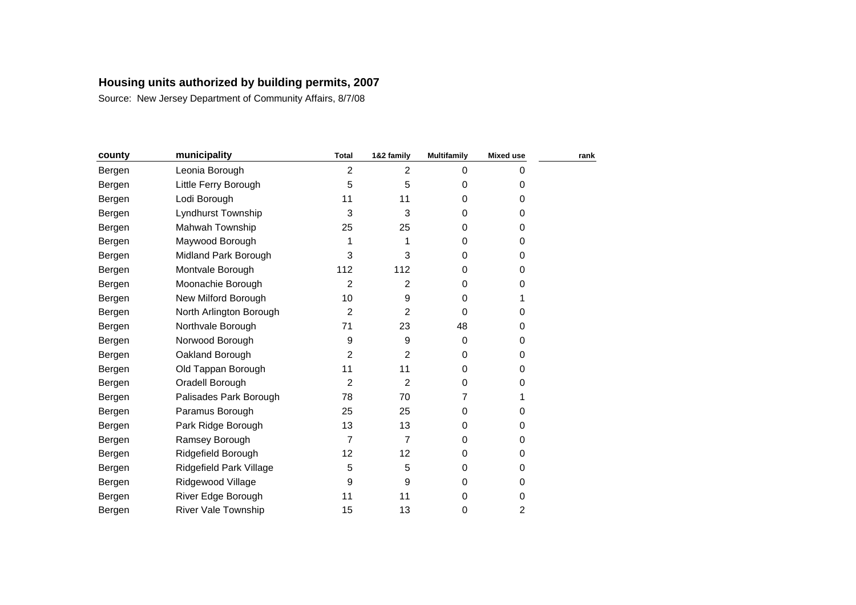| county | municipality               | <b>Total</b>   | 1&2 family     | <b>Multifamily</b> | <b>Mixed use</b> | rank |
|--------|----------------------------|----------------|----------------|--------------------|------------------|------|
| Bergen | Leonia Borough             | 2              | $\overline{2}$ | 0                  | 0                |      |
| Bergen | Little Ferry Borough       | 5              | 5              | 0                  | 0                |      |
| Bergen | Lodi Borough               | 11             | 11             | 0                  | 0                |      |
| Bergen | Lyndhurst Township         | 3              | 3              | 0                  | 0                |      |
| Bergen | Mahwah Township            | 25             | 25             | $\Omega$           | 0                |      |
| Bergen | Maywood Borough            | 1              |                | 0                  | 0                |      |
| Bergen | Midland Park Borough       | 3              | 3              | 0                  | 0                |      |
| Bergen | Montvale Borough           | 112            | 112            | 0                  | 0                |      |
| Bergen | Moonachie Borough          | $\overline{2}$ | $\overline{2}$ | 0                  | 0                |      |
| Bergen | New Milford Borough        | 10             | 9              | $\Omega$           |                  |      |
| Bergen | North Arlington Borough    | 2              | 2              | $\Omega$           | 0                |      |
| Bergen | Northvale Borough          | 71             | 23             | 48                 | 0                |      |
| Bergen | Norwood Borough            | 9              | 9              | $\Omega$           | 0                |      |
| Bergen | Oakland Borough            | 2              | 2              | $\Omega$           | 0                |      |
| Bergen | Old Tappan Borough         | 11             | 11             | 0                  | 0                |      |
| Bergen | Oradell Borough            | $\overline{2}$ | $\overline{2}$ | $\Omega$           | 0                |      |
| Bergen | Palisades Park Borough     | 78             | 70             | 7                  |                  |      |
| Bergen | Paramus Borough            | 25             | 25             | $\Omega$           | 0                |      |
| Bergen | Park Ridge Borough         | 13             | 13             | $\Omega$           | 0                |      |
| Bergen | Ramsey Borough             | $\overline{7}$ | 7              | $\Omega$           | 0                |      |
| Bergen | Ridgefield Borough         | 12             | 12             | 0                  | 0                |      |
| Bergen | Ridgefield Park Village    | 5              | 5              | $\Omega$           | 0                |      |
| Bergen | Ridgewood Village          | 9              | 9              | $\Omega$           | 0                |      |
| Bergen | River Edge Borough         | 11             | 11             | 0                  | 0                |      |
| Bergen | <b>River Vale Township</b> | 15             | 13             | 0                  | 2                |      |
|        |                            |                |                |                    |                  |      |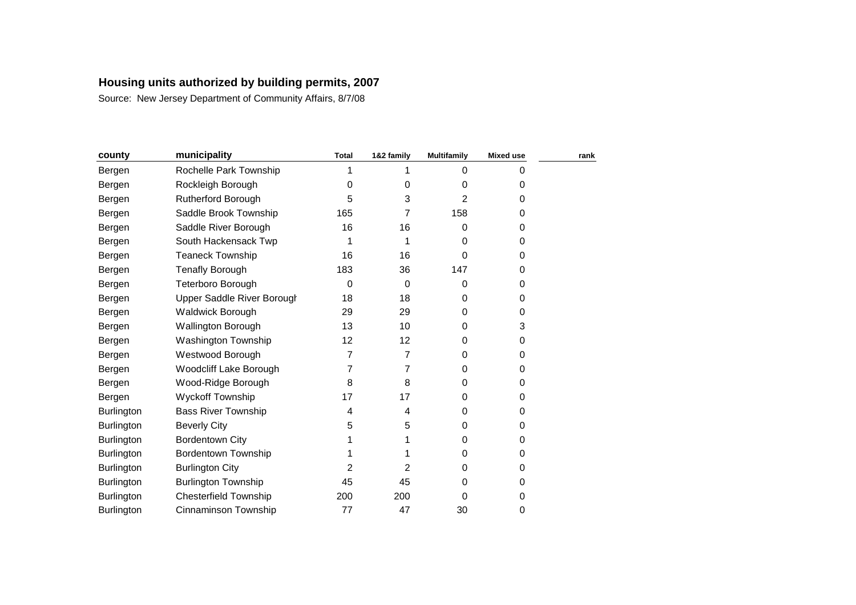| county            | municipality                 | <b>Total</b>   | 1&2 family | <b>Multifamily</b> | <b>Mixed use</b> | rank |
|-------------------|------------------------------|----------------|------------|--------------------|------------------|------|
| Bergen            | Rochelle Park Township       |                |            | $\Omega$           | 0                |      |
| Bergen            | Rockleigh Borough            | 0              | 0          | 0                  | 0                |      |
| Bergen            | <b>Rutherford Borough</b>    | 5              | 3          | 2                  | 0                |      |
| Bergen            | Saddle Brook Township        | 165            | 7          | 158                | 0                |      |
| Bergen            | Saddle River Borough         | 16             | 16         | 0                  | 0                |      |
| Bergen            | South Hackensack Twp         | 1              |            | 0                  | 0                |      |
| Bergen            | <b>Teaneck Township</b>      | 16             | 16         | 0                  | 0                |      |
| Bergen            | <b>Tenafly Borough</b>       | 183            | 36         | 147                | 0                |      |
| Bergen            | Teterboro Borough            | 0              | $\Omega$   | 0                  | 0                |      |
| Bergen            | Upper Saddle River Borough   | 18             | 18         | 0                  | 0                |      |
| Bergen            | <b>Waldwick Borough</b>      | 29             | 29         | $\Omega$           | 0                |      |
| Bergen            | Wallington Borough           | 13             | 10         | 0                  | 3                |      |
| Bergen            | Washington Township          | 12             | 12         | 0                  | 0                |      |
| Bergen            | Westwood Borough             | 7              | 7          | 0                  | 0                |      |
| Bergen            | Woodcliff Lake Borough       | 7              | 7          | 0                  | 0                |      |
| Bergen            | Wood-Ridge Borough           | 8              | 8          | 0                  | 0                |      |
| Bergen            | Wyckoff Township             | 17             | 17         | 0                  | 0                |      |
| <b>Burlington</b> | <b>Bass River Township</b>   | 4              | 4          | 0                  | 0                |      |
| Burlington        | <b>Beverly City</b>          | 5              | 5          | 0                  | 0                |      |
| <b>Burlington</b> | <b>Bordentown City</b>       |                |            | 0                  | 0                |      |
| <b>Burlington</b> | <b>Bordentown Township</b>   |                |            | 0                  | 0                |      |
| <b>Burlington</b> | <b>Burlington City</b>       | $\overline{2}$ | 2          | $\Omega$           | 0                |      |
| Burlington        | <b>Burlington Township</b>   | 45             | 45         | 0                  | 0                |      |
| Burlington        | <b>Chesterfield Township</b> | 200            | 200        | 0                  | 0                |      |
| Burlington        | <b>Cinnaminson Township</b>  | 77             | 47         | 30                 | 0                |      |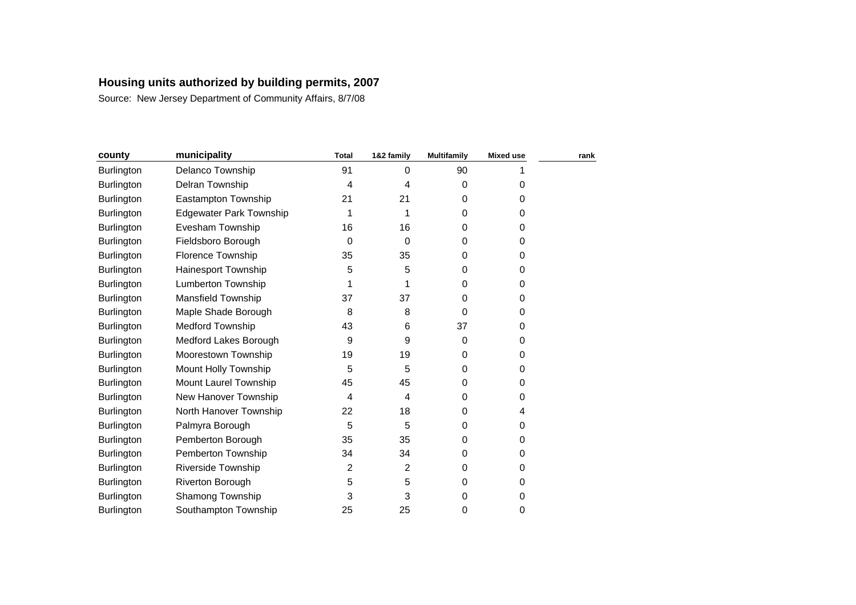| county            | municipality                   | <b>Total</b> | 1&2 family | <b>Multifamily</b> | <b>Mixed use</b> | rank |
|-------------------|--------------------------------|--------------|------------|--------------------|------------------|------|
| Burlington        | Delanco Township               | 91           | 0          | 90                 |                  |      |
| <b>Burlington</b> | Delran Township                | 4            | 4          | 0                  | 0                |      |
| Burlington        | Eastampton Township            | 21           | 21         | 0                  | 0                |      |
| Burlington        | <b>Edgewater Park Township</b> | 1            | 1          | 0                  | 0                |      |
| Burlington        | Evesham Township               | 16           | 16         | 0                  | 0                |      |
| Burlington        | Fieldsboro Borough             | 0            | 0          | 0                  | 0                |      |
| <b>Burlington</b> | Florence Township              | 35           | 35         | 0                  | 0                |      |
| <b>Burlington</b> | Hainesport Township            | 5            | 5          | 0                  | 0                |      |
| <b>Burlington</b> | <b>Lumberton Township</b>      | 1            |            | 0                  | 0                |      |
| Burlington        | <b>Mansfield Township</b>      | 37           | 37         | 0                  | 0                |      |
| <b>Burlington</b> | Maple Shade Borough            | 8            | 8          | $\Omega$           | 0                |      |
| Burlington        | <b>Medford Township</b>        | 43           | 6          | 37                 | 0                |      |
| Burlington        | Medford Lakes Borough          | 9            | 9          | 0                  | 0                |      |
| Burlington        | Moorestown Township            | 19           | 19         | 0                  | 0                |      |
| <b>Burlington</b> | Mount Holly Township           | 5            | 5          | 0                  | 0                |      |
| <b>Burlington</b> | Mount Laurel Township          | 45           | 45         | 0                  | 0                |      |
| <b>Burlington</b> | New Hanover Township           | 4            | 4          | 0                  | 0                |      |
| <b>Burlington</b> | North Hanover Township         | 22           | 18         | 0                  | 4                |      |
| Burlington        | Palmyra Borough                | 5            | 5          | 0                  | 0                |      |
| Burlington        | Pemberton Borough              | 35           | 35         | 0                  | 0                |      |
| Burlington        | Pemberton Township             | 34           | 34         | 0                  | 0                |      |
| Burlington        | <b>Riverside Township</b>      | 2            | 2          | $\Omega$           | 0                |      |
| Burlington        | Riverton Borough               | 5            | 5          | 0                  | 0                |      |
| <b>Burlington</b> | Shamong Township               | 3            | 3          | 0                  | 0                |      |
| <b>Burlington</b> | Southampton Township           | 25           | 25         | 0                  | 0                |      |
|                   |                                |              |            |                    |                  |      |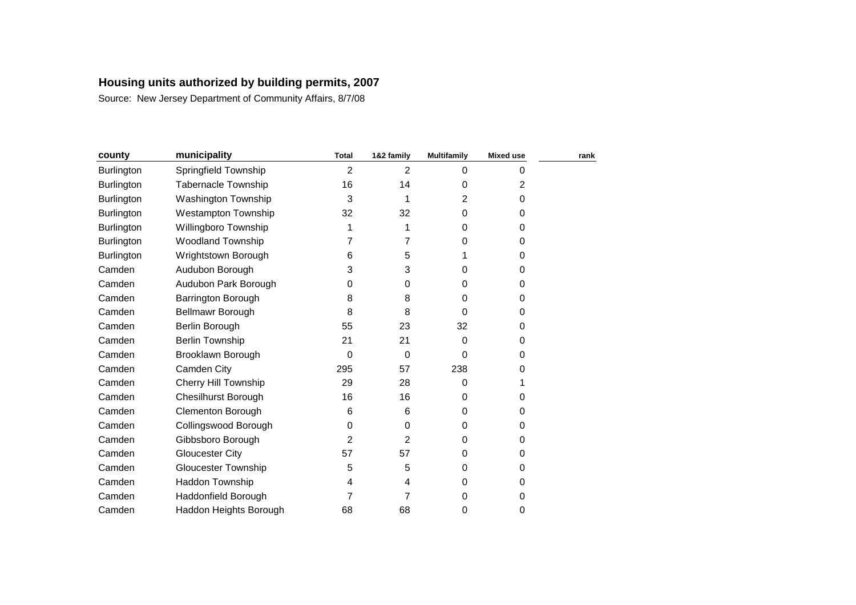| county            | municipality               | <b>Total</b>   | 1&2 family     | <b>Multifamily</b> | <b>Mixed use</b> | rank |
|-------------------|----------------------------|----------------|----------------|--------------------|------------------|------|
| <b>Burlington</b> | Springfield Township       | 2              | $\overline{2}$ | $\Omega$           | 0                |      |
| <b>Burlington</b> | <b>Tabernacle Township</b> | 16             | 14             | 0                  | $\overline{c}$   |      |
| <b>Burlington</b> | Washington Township        | 3              |                | 2                  | 0                |      |
| Burlington        | <b>Westampton Township</b> | 32             | 32             | 0                  | 0                |      |
| <b>Burlington</b> | Willingboro Township       | 1              | 1              | 0                  | 0                |      |
| Burlington        | <b>Woodland Township</b>   | 7              | 7              | 0                  | 0                |      |
| <b>Burlington</b> | Wrightstown Borough        | 6              | 5              |                    | 0                |      |
| Camden            | Audubon Borough            | 3              | 3              | 0                  | 0                |      |
| Camden            | Audubon Park Borough       | 0              | 0              | $\Omega$           | 0                |      |
| Camden            | Barrington Borough         | 8              | 8              | 0                  | 0                |      |
| Camden            | Bellmawr Borough           | 8              | 8              | 0                  | 0                |      |
| Camden            | Berlin Borough             | 55             | 23             | 32                 | 0                |      |
| Camden            | <b>Berlin Township</b>     | 21             | 21             | 0                  | 0                |      |
| Camden            | Brooklawn Borough          | 0              | 0              | 0                  | 0                |      |
| Camden            | Camden City                | 295            | 57             | 238                | 0                |      |
| Camden            | Cherry Hill Township       | 29             | 28             | 0                  |                  |      |
| Camden            | Chesilhurst Borough        | 16             | 16             | $\Omega$           | 0                |      |
| Camden            | <b>Clementon Borough</b>   | 6              | 6              | 0                  | 0                |      |
| Camden            | Collingswood Borough       | 0              | 0              | 0                  | 0                |      |
| Camden            | Gibbsboro Borough          | $\overline{2}$ | 2              | 0                  | 0                |      |
| Camden            | <b>Gloucester City</b>     | 57             | 57             | 0                  | 0                |      |
| Camden            | <b>Gloucester Township</b> | 5              | 5              | 0                  | 0                |      |
| Camden            | Haddon Township            | 4              | 4              | 0                  | 0                |      |
| Camden            | Haddonfield Borough        | 7              | 7              | $\Omega$           | 0                |      |
| Camden            | Haddon Heights Borough     | 68             | 68             | 0                  | 0                |      |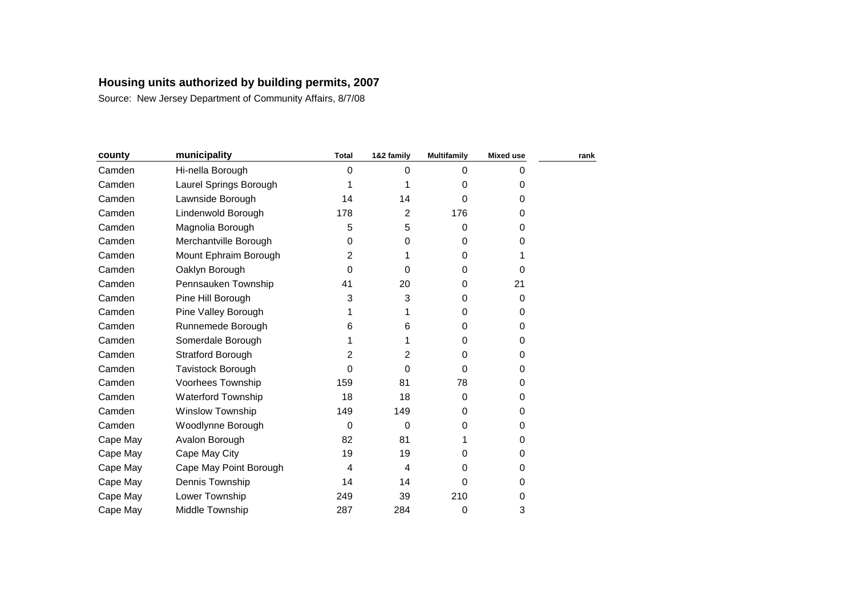| county   | municipality              | <b>Total</b> | 1&2 family     | <b>Multifamily</b> | <b>Mixed use</b> | rank |
|----------|---------------------------|--------------|----------------|--------------------|------------------|------|
| Camden   | Hi-nella Borough          | 0            | $\Omega$       | $\Omega$           | 0                |      |
| Camden   | Laurel Springs Borough    | 1            |                | $\Omega$           | 0                |      |
| Camden   | Lawnside Borough          | 14           | 14             | $\Omega$           | 0                |      |
| Camden   | Lindenwold Borough        | 178          | 2              | 176                | 0                |      |
| Camden   | Magnolia Borough          | 5            | 5              | $\Omega$           | 0                |      |
| Camden   | Merchantville Borough     | 0            | 0              | 0                  | 0                |      |
| Camden   | Mount Ephraim Borough     | 2            |                | $\Omega$           |                  |      |
| Camden   | Oaklyn Borough            | 0            | 0              | 0                  | 0                |      |
| Camden   | Pennsauken Township       | 41           | 20             | 0                  | 21               |      |
| Camden   | Pine Hill Borough         | 3            | 3              | 0                  | 0                |      |
| Camden   | Pine Valley Borough       | 1            |                | $\Omega$           | 0                |      |
| Camden   | Runnemede Borough         | 6            | 6              | $\Omega$           | 0                |      |
| Camden   | Somerdale Borough         | 1            |                | $\Omega$           | 0                |      |
| Camden   | <b>Stratford Borough</b>  | 2            | 2              | $\Omega$           | 0                |      |
| Camden   | Tavistock Borough         | 0            | $\Omega$       | $\Omega$           | 0                |      |
| Camden   | Voorhees Township         | 159          | 81             | 78                 | 0                |      |
| Camden   | <b>Waterford Township</b> | 18           | 18             | $\Omega$           | 0                |      |
| Camden   | Winslow Township          | 149          | 149            | $\Omega$           | 0                |      |
| Camden   | Woodlynne Borough         | 0            | $\Omega$       | 0                  | 0                |      |
| Cape May | Avalon Borough            | 82           | 81             |                    | 0                |      |
| Cape May | Cape May City             | 19           | 19             | 0                  | 0                |      |
| Cape May | Cape May Point Borough    | 4            | $\overline{4}$ | $\Omega$           | 0                |      |
| Cape May | Dennis Township           | 14           | 14             | 0                  | 0                |      |
| Cape May | Lower Township            | 249          | 39             | 210                | 0                |      |
| Cape May | Middle Township           | 287          | 284            | 0                  | 3                |      |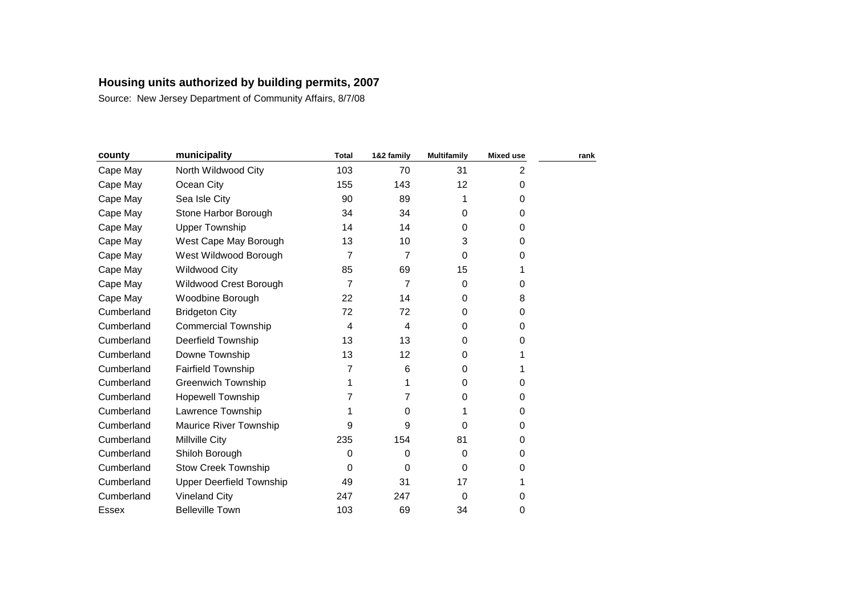| county     | municipality                    | <b>Total</b>   | 1&2 family | <b>Multifamily</b> | <b>Mixed use</b> | rank |
|------------|---------------------------------|----------------|------------|--------------------|------------------|------|
| Cape May   | North Wildwood City             | 103            | 70         | 31                 | 2                |      |
| Cape May   | Ocean City                      | 155            | 143        | 12                 | 0                |      |
| Cape May   | Sea Isle City                   | 90             | 89         |                    | 0                |      |
| Cape May   | Stone Harbor Borough            | 34             | 34         | $\Omega$           | 0                |      |
| Cape May   | <b>Upper Township</b>           | 14             | 14         | $\Omega$           | 0                |      |
| Cape May   | West Cape May Borough           | 13             | 10         | 3                  | 0                |      |
| Cape May   | West Wildwood Borough           | $\overline{7}$ | 7          | $\Omega$           | 0                |      |
| Cape May   | <b>Wildwood City</b>            | 85             | 69         | 15                 |                  |      |
| Cape May   | Wildwood Crest Borough          | $\overline{7}$ | 7          | $\Omega$           | 0                |      |
| Cape May   | Woodbine Borough                | 22             | 14         | $\Omega$           | 8                |      |
| Cumberland | <b>Bridgeton City</b>           | 72             | 72         | $\Omega$           | 0                |      |
| Cumberland | <b>Commercial Township</b>      | 4              | 4          | $\Omega$           | 0                |      |
| Cumberland | <b>Deerfield Township</b>       | 13             | 13         | $\Omega$           | 0                |      |
| Cumberland | Downe Township                  | 13             | 12         | $\Omega$           |                  |      |
| Cumberland | <b>Fairfield Township</b>       | 7              | 6          | $\Omega$           |                  |      |
| Cumberland | <b>Greenwich Township</b>       | 1              |            | $\Omega$           | 0                |      |
| Cumberland | <b>Hopewell Township</b>        | 7              | 7          | 0                  | 0                |      |
| Cumberland | Lawrence Township               | 1              | 0          |                    | 0                |      |
| Cumberland | Maurice River Township          | 9              | 9          | 0                  | 0                |      |
| Cumberland | <b>Millville City</b>           | 235            | 154        | 81                 | 0                |      |
| Cumberland | Shiloh Borough                  | 0              | 0          | 0                  | 0                |      |
| Cumberland | <b>Stow Creek Township</b>      | 0              | $\Omega$   | $\Omega$           | 0                |      |
| Cumberland | <b>Upper Deerfield Township</b> | 49             | 31         | 17                 |                  |      |
| Cumberland | <b>Vineland City</b>            | 247            | 247        | $\Omega$           | 0                |      |
| Essex      | <b>Belleville Town</b>          | 103            | 69         | 34                 | 0                |      |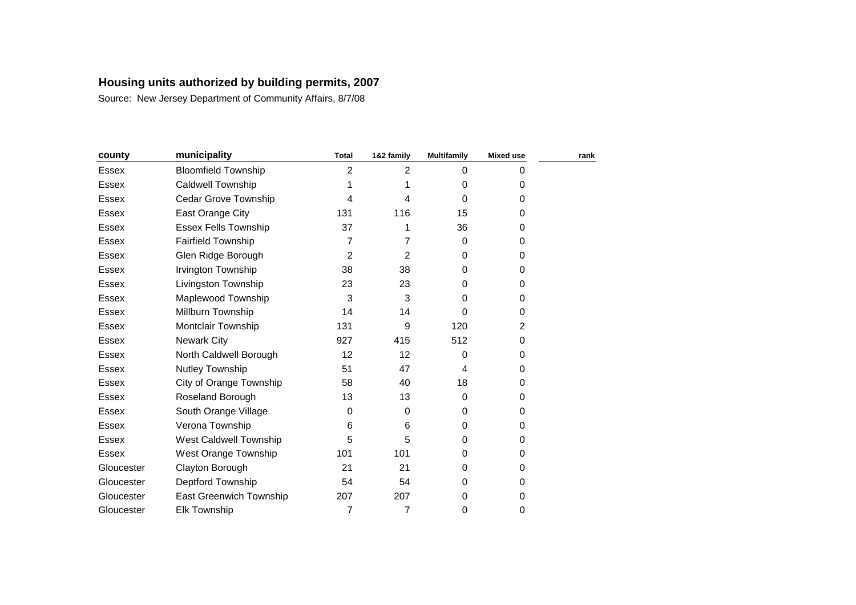| county       | municipality                | <b>Total</b>   | 1&2 family     | <b>Multifamily</b> | <b>Mixed use</b> | rank |
|--------------|-----------------------------|----------------|----------------|--------------------|------------------|------|
| <b>Essex</b> | <b>Bloomfield Township</b>  | 2              | $\overline{2}$ | $\Omega$           | 0                |      |
| <b>Essex</b> | <b>Caldwell Township</b>    | 1              |                | 0                  | 0                |      |
| <b>Essex</b> | Cedar Grove Township        | 4              | 4              | 0                  | 0                |      |
| <b>Essex</b> | East Orange City            | 131            | 116            | 15                 | 0                |      |
| Essex        | <b>Essex Fells Township</b> | 37             |                | 36                 | 0                |      |
| Essex        | <b>Fairfield Township</b>   | 7              | 7              | $\mathbf 0$        | 0                |      |
| <b>Essex</b> | Glen Ridge Borough          | $\overline{2}$ | 2              | $\Omega$           | 0                |      |
| Essex        | Irvington Township          | 38             | 38             | $\Omega$           | 0                |      |
| Essex        | Livingston Township         | 23             | 23             | $\Omega$           | 0                |      |
| <b>Essex</b> | Maplewood Township          | 3              | 3              | 0                  | 0                |      |
| <b>Essex</b> | Millburn Township           | 14             | 14             | 0                  | 0                |      |
| Essex        | Montclair Township          | 131            | 9              | 120                | 2                |      |
| <b>Essex</b> | <b>Newark City</b>          | 927            | 415            | 512                | 0                |      |
| Essex        | North Caldwell Borough      | 12             | 12             | 0                  | 0                |      |
| <b>Essex</b> | Nutley Township             | 51             | 47             | 4                  | 0                |      |
| Essex        | City of Orange Township     | 58             | 40             | 18                 | 0                |      |
| Essex        | Roseland Borough            | 13             | 13             | $\Omega$           | 0                |      |
| <b>Essex</b> | South Orange Village        | $\mathbf 0$    | 0              | $\Omega$           | 0                |      |
| <b>Essex</b> | Verona Township             | 6              | 6              | 0                  | 0                |      |
| <b>Essex</b> | West Caldwell Township      | 5              | 5              | 0                  | 0                |      |
| <b>Essex</b> | West Orange Township        | 101            | 101            | 0                  | 0                |      |
| Gloucester   | Clayton Borough             | 21             | 21             | $\Omega$           | 0                |      |
| Gloucester   | Deptford Township           | 54             | 54             | 0                  | 0                |      |
| Gloucester   | East Greenwich Township     | 207            | 207            | $\Omega$           | 0                |      |
| Gloucester   | <b>Elk Township</b>         | 7              | 7              | 0                  | 0                |      |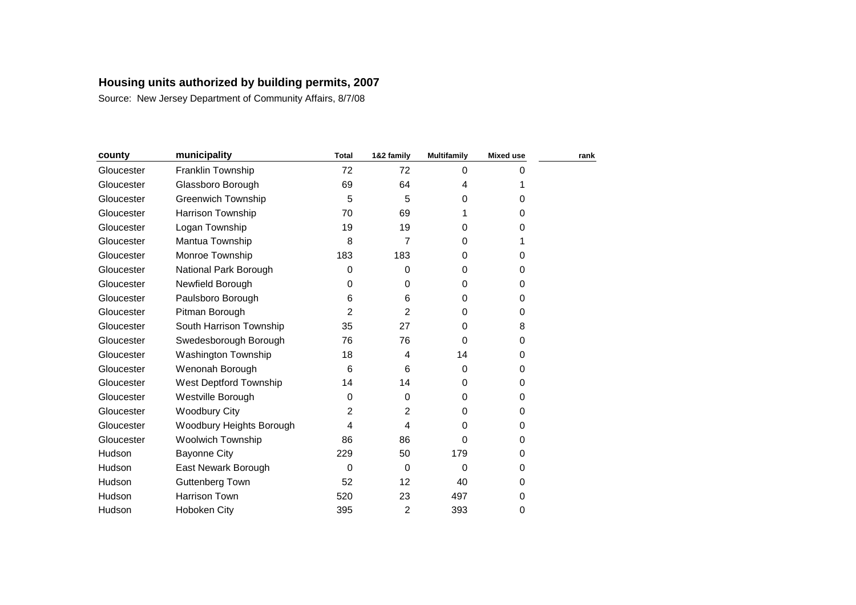| county     | municipality              | <b>Total</b> | 1&2 family | <b>Multifamily</b> | <b>Mixed use</b> | rank |
|------------|---------------------------|--------------|------------|--------------------|------------------|------|
| Gloucester | Franklin Township         | 72           | 72         | $\Omega$           | 0                |      |
| Gloucester | Glassboro Borough         | 69           | 64         | 4                  |                  |      |
| Gloucester | <b>Greenwich Township</b> | 5            | 5          | 0                  | 0                |      |
| Gloucester | Harrison Township         | 70           | 69         | 1                  | 0                |      |
| Gloucester | Logan Township            | 19           | 19         | 0                  | 0                |      |
| Gloucester | Mantua Township           | 8            | 7          | $\Omega$           |                  |      |
| Gloucester | Monroe Township           | 183          | 183        | 0                  | 0                |      |
| Gloucester | National Park Borough     | 0            | 0          | $\Omega$           | 0                |      |
| Gloucester | Newfield Borough          | 0            | 0          | $\Omega$           | 0                |      |
| Gloucester | Paulsboro Borough         | 6            | 6          | $\Omega$           | 0                |      |
| Gloucester | Pitman Borough            | 2            | 2          | $\Omega$           | 0                |      |
| Gloucester | South Harrison Township   | 35           | 27         | 0                  | 8                |      |
| Gloucester | Swedesborough Borough     | 76           | 76         | $\Omega$           | 0                |      |
| Gloucester | Washington Township       | 18           | 4          | 14                 | 0                |      |
| Gloucester | Wenonah Borough           | 6            | 6          | $\Omega$           | 0                |      |
| Gloucester | West Deptford Township    | 14           | 14         | $\Omega$           | 0                |      |
| Gloucester | Westville Borough         | 0            | 0          | $\Omega$           | 0                |      |
| Gloucester | <b>Woodbury City</b>      | 2            | 2          | $\Omega$           | 0                |      |
| Gloucester | Woodbury Heights Borough  | 4            | 4          | 0                  | 0                |      |
| Gloucester | <b>Woolwich Township</b>  | 86           | 86         | 0                  | 0                |      |
| Hudson     | <b>Bayonne City</b>       | 229          | 50         | 179                | 0                |      |
| Hudson     | East Newark Borough       | $\mathbf 0$  | $\Omega$   | 0                  | 0                |      |
| Hudson     | Guttenberg Town           | 52           | 12         | 40                 | 0                |      |
| Hudson     | Harrison Town             | 520          | 23         | 497                | 0                |      |
| Hudson     | Hoboken City              | 395          | 2          | 393                | 0                |      |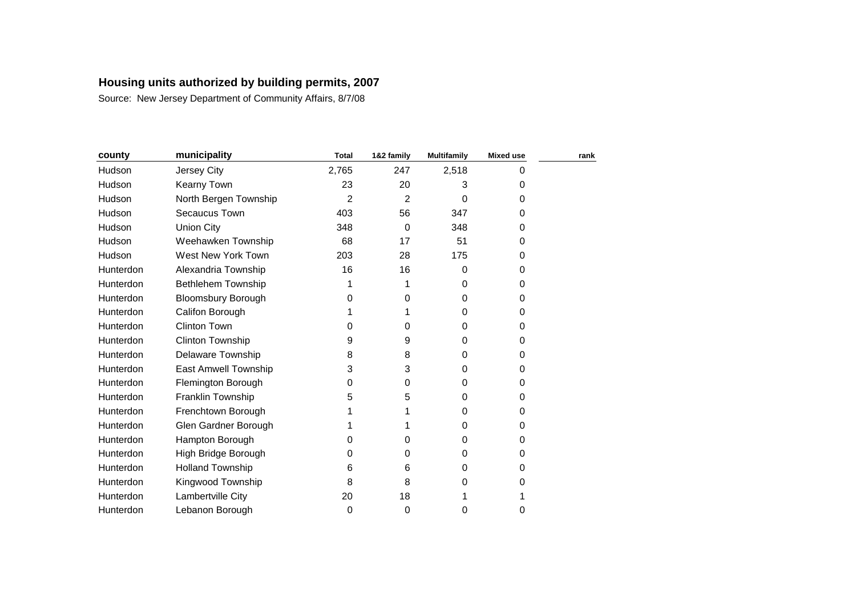| county    | municipality              | <b>Total</b>   | 1&2 family     | <b>Multifamily</b> | <b>Mixed use</b> | rank |
|-----------|---------------------------|----------------|----------------|--------------------|------------------|------|
| Hudson    | Jersey City               | 2,765          | 247            | 2,518              | 0                |      |
| Hudson    | <b>Kearny Town</b>        | 23             | 20             | 3                  | 0                |      |
| Hudson    | North Bergen Township     | $\overline{2}$ | $\overline{2}$ | 0                  | 0                |      |
| Hudson    | Secaucus Town             | 403            | 56             | 347                | 0                |      |
| Hudson    | <b>Union City</b>         | 348            | 0              | 348                | 0                |      |
| Hudson    | Weehawken Township        | 68             | 17             | 51                 | 0                |      |
| Hudson    | West New York Town        | 203            | 28             | 175                | 0                |      |
| Hunterdon | Alexandria Township       | 16             | 16             | $\Omega$           | 0                |      |
| Hunterdon | Bethlehem Township        | 1              |                | $\Omega$           | 0                |      |
| Hunterdon | <b>Bloomsbury Borough</b> | 0              | 0              | $\Omega$           | 0                |      |
| Hunterdon | Califon Borough           |                |                | 0                  | 0                |      |
| Hunterdon | <b>Clinton Town</b>       | 0              | 0              | 0                  | 0                |      |
| Hunterdon | <b>Clinton Township</b>   | 9              | 9              | 0                  | 0                |      |
| Hunterdon | <b>Delaware Township</b>  | 8              | 8              | 0                  | 0                |      |
| Hunterdon | East Amwell Township      | 3              | 3              | 0                  | 0                |      |
| Hunterdon | Flemington Borough        | 0              | 0              | 0                  | 0                |      |
| Hunterdon | Franklin Township         | 5              | 5              | 0                  | 0                |      |
| Hunterdon | Frenchtown Borough        |                |                | $\Omega$           | 0                |      |
| Hunterdon | Glen Gardner Borough      |                |                | 0                  | 0                |      |
| Hunterdon | Hampton Borough           | 0              | 0              | 0                  | 0                |      |
| Hunterdon | High Bridge Borough       | 0              | 0              | 0                  | 0                |      |
| Hunterdon | <b>Holland Township</b>   | 6              | 6              | 0                  | 0                |      |
| Hunterdon | Kingwood Township         | 8              | 8              | 0                  | 0                |      |
| Hunterdon | Lambertville City         | 20             | 18             | 1                  |                  |      |
| Hunterdon | Lebanon Borough           | 0              | 0              | 0                  | 0                |      |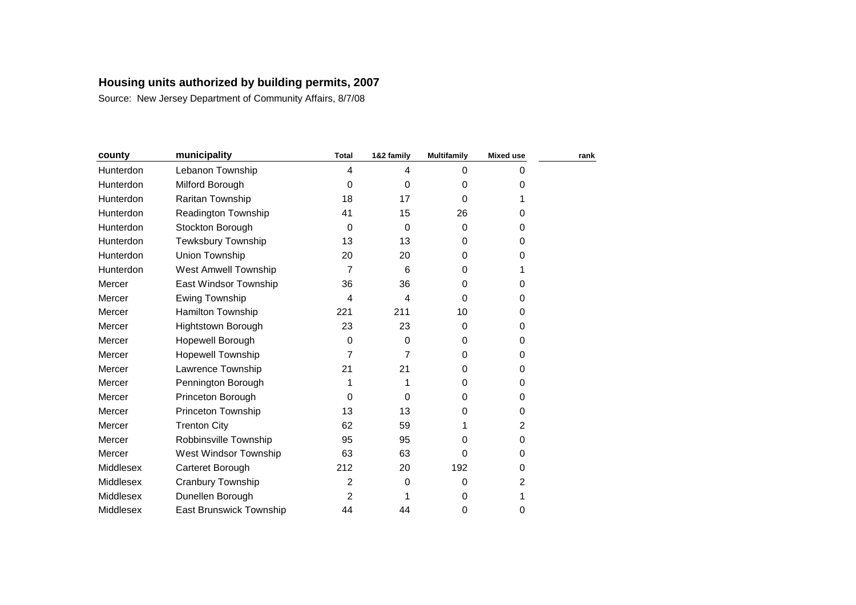| county    | municipality                   | <b>Total</b>     | 1&2 family | <b>Multifamily</b> | <b>Mixed use</b> | rank |
|-----------|--------------------------------|------------------|------------|--------------------|------------------|------|
| Hunterdon | Lebanon Township               | 4                | 4          | $\Omega$           | 0                |      |
| Hunterdon | Milford Borough                | 0                | $\Omega$   | 0                  | 0                |      |
| Hunterdon | Raritan Township               | 18               | 17         | $\Omega$           |                  |      |
| Hunterdon | <b>Readington Township</b>     | 41               | 15         | 26                 | 0                |      |
| Hunterdon | Stockton Borough               | 0                | $\Omega$   | $\Omega$           | 0                |      |
| Hunterdon | Tewksbury Township             | 13               | 13         | $\Omega$           | 0                |      |
| Hunterdon | Union Township                 | 20               | 20         | 0                  | 0                |      |
| Hunterdon | <b>West Amwell Township</b>    | 7                | 6          | 0                  |                  |      |
| Mercer    | East Windsor Township          | 36               | 36         | $\Omega$           | 0                |      |
| Mercer    | Ewing Township                 | 4                | 4          | $\Omega$           | 0                |      |
| Mercer    | <b>Hamilton Township</b>       | 221              | 211        | 10                 | 0                |      |
| Mercer    | Hightstown Borough             | 23               | 23         | 0                  | 0                |      |
| Mercer    | Hopewell Borough               | $\boldsymbol{0}$ | $\Omega$   | $\Omega$           | 0                |      |
| Mercer    | <b>Hopewell Township</b>       | 7                | 7          | 0                  | 0                |      |
| Mercer    | Lawrence Township              | 21               | 21         | 0                  | 0                |      |
| Mercer    | Pennington Borough             | 1                |            | $\Omega$           | 0                |      |
| Mercer    | Princeton Borough              | 0                | $\Omega$   | 0                  | 0                |      |
| Mercer    | <b>Princeton Township</b>      | 13               | 13         | 0                  | 0                |      |
| Mercer    | <b>Trenton City</b>            | 62               | 59         | 1                  | 2                |      |
| Mercer    | Robbinsville Township          | 95               | 95         | 0                  | 0                |      |
| Mercer    | West Windsor Township          | 63               | 63         | 0                  | 0                |      |
| Middlesex | Carteret Borough               | 212              | 20         | 192                | 0                |      |
| Middlesex | Cranbury Township              | 2                | 0          | $\Omega$           | 2                |      |
| Middlesex | Dunellen Borough               | 2                |            | $\Omega$           |                  |      |
| Middlesex | <b>East Brunswick Township</b> | 44               | 44         | 0                  | 0                |      |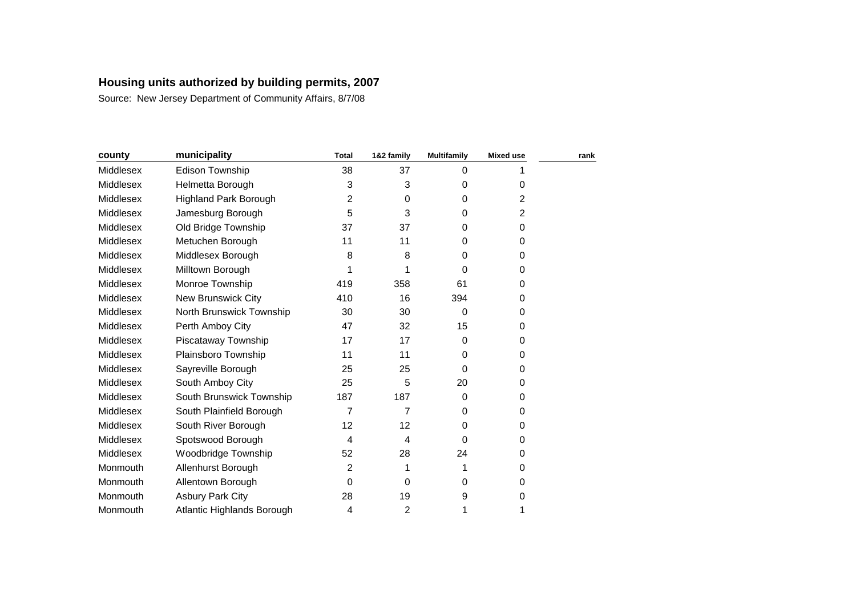| county    | municipality                 | <b>Total</b>   | 1&2 family | <b>Multifamily</b> | <b>Mixed use</b> | rank |
|-----------|------------------------------|----------------|------------|--------------------|------------------|------|
| Middlesex | Edison Township              | 38             | 37         | $\Omega$           |                  |      |
| Middlesex | Helmetta Borough             | 3              | 3          | $\Omega$           | 0                |      |
| Middlesex | <b>Highland Park Borough</b> | 2              | 0          | $\Omega$           | 2                |      |
| Middlesex | Jamesburg Borough            | 5              | 3          | 0                  | 2                |      |
| Middlesex | Old Bridge Township          | 37             | 37         | $\Omega$           | 0                |      |
| Middlesex | Metuchen Borough             | 11             | 11         | $\Omega$           | 0                |      |
| Middlesex | Middlesex Borough            | 8              | 8          | 0                  | 0                |      |
| Middlesex | Milltown Borough             | 1              |            | 0                  | 0                |      |
| Middlesex | Monroe Township              | 419            | 358        | 61                 | 0                |      |
| Middlesex | <b>New Brunswick City</b>    | 410            | 16         | 394                | 0                |      |
| Middlesex | North Brunswick Township     | 30             | 30         | $\Omega$           | 0                |      |
| Middlesex | Perth Amboy City             | 47             | 32         | 15                 | 0                |      |
| Middlesex | Piscataway Township          | 17             | 17         | $\Omega$           | 0                |      |
| Middlesex | Plainsboro Township          | 11             | 11         | $\Omega$           | 0                |      |
| Middlesex | Sayreville Borough           | 25             | 25         | 0                  | 0                |      |
| Middlesex | South Amboy City             | 25             | 5          | 20                 | 0                |      |
| Middlesex | South Brunswick Township     | 187            | 187        | $\Omega$           | 0                |      |
| Middlesex | South Plainfield Borough     | $\overline{7}$ | 7          | $\Omega$           | 0                |      |
| Middlesex | South River Borough          | 12             | 12         | $\Omega$           | 0                |      |
| Middlesex | Spotswood Borough            | 4              | 4          | $\Omega$           | 0                |      |
| Middlesex | Woodbridge Township          | 52             | 28         | 24                 | 0                |      |
| Monmouth  | Allenhurst Borough           | 2              | 1          | 1                  | 0                |      |
| Monmouth  | Allentown Borough            | 0              | $\Omega$   | 0                  | 0                |      |
| Monmouth  | <b>Asbury Park City</b>      | 28             | 19         | 9                  | 0                |      |
| Monmouth  | Atlantic Highlands Borough   | 4              | 2          | 1                  | 1                |      |
|           |                              |                |            |                    |                  |      |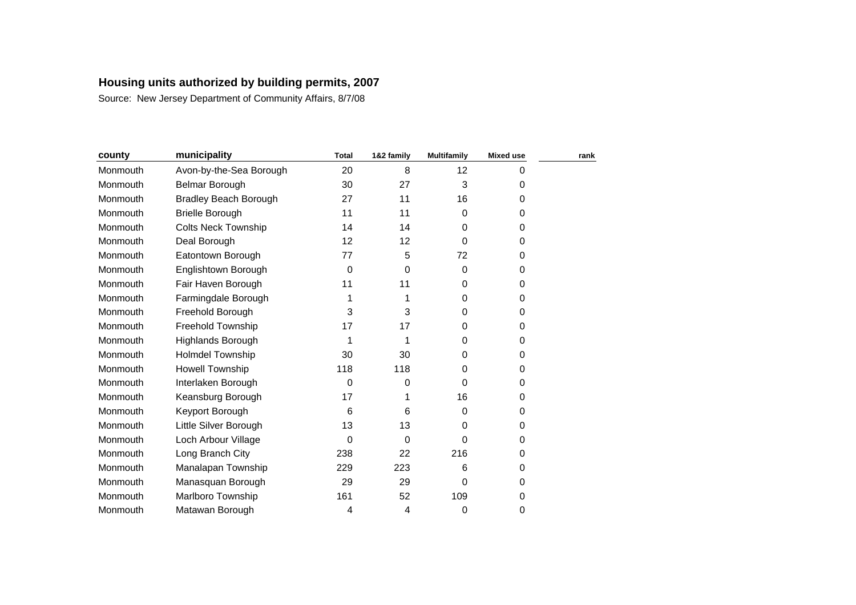| county   | municipality                 | <b>Total</b> | 1&2 family | <b>Multifamily</b> | <b>Mixed use</b> | rank |
|----------|------------------------------|--------------|------------|--------------------|------------------|------|
| Monmouth | Avon-by-the-Sea Borough      | 20           | 8          | 12                 | 0                |      |
| Monmouth | Belmar Borough               | 30           | 27         | 3                  | 0                |      |
| Monmouth | <b>Bradley Beach Borough</b> | 27           | 11         | 16                 | 0                |      |
| Monmouth | <b>Brielle Borough</b>       | 11           | 11         | 0                  | 0                |      |
| Monmouth | <b>Colts Neck Township</b>   | 14           | 14         | 0                  | 0                |      |
| Monmouth | Deal Borough                 | 12           | 12         | 0                  | 0                |      |
| Monmouth | Eatontown Borough            | 77           | 5          | 72                 | 0                |      |
| Monmouth | Englishtown Borough          | 0            | $\Omega$   | 0                  | 0                |      |
| Monmouth | Fair Haven Borough           | 11           | 11         | $\Omega$           | 0                |      |
| Monmouth | Farmingdale Borough          | 1            |            | $\Omega$           | 0                |      |
| Monmouth | Freehold Borough             | 3            | 3          | $\Omega$           | 0                |      |
| Monmouth | Freehold Township            | 17           | 17         | 0                  | 0                |      |
| Monmouth | Highlands Borough            | 1            | 1          | $\Omega$           | 0                |      |
| Monmouth | Holmdel Township             | 30           | 30         | 0                  | 0                |      |
| Monmouth | Howell Township              | 118          | 118        | 0                  | 0                |      |
| Monmouth | Interlaken Borough           | 0            | 0          | $\Omega$           | 0                |      |
| Monmouth | Keansburg Borough            | 17           |            | 16                 | 0                |      |
| Monmouth | Keyport Borough              | 6            | 6          | $\Omega$           | 0                |      |
| Monmouth | Little Silver Borough        | 13           | 13         | 0                  | 0                |      |
| Monmouth | Loch Arbour Village          | 0            | $\Omega$   | 0                  | 0                |      |
| Monmouth | Long Branch City             | 238          | 22         | 216                | 0                |      |
| Monmouth | Manalapan Township           | 229          | 223        | 6                  | 0                |      |
| Monmouth | Manasquan Borough            | 29           | 29         | 0                  | 0                |      |
| Monmouth | Marlboro Township            | 161          | 52         | 109                | 0                |      |
| Monmouth | Matawan Borough              | 4            | 4          | 0                  | 0                |      |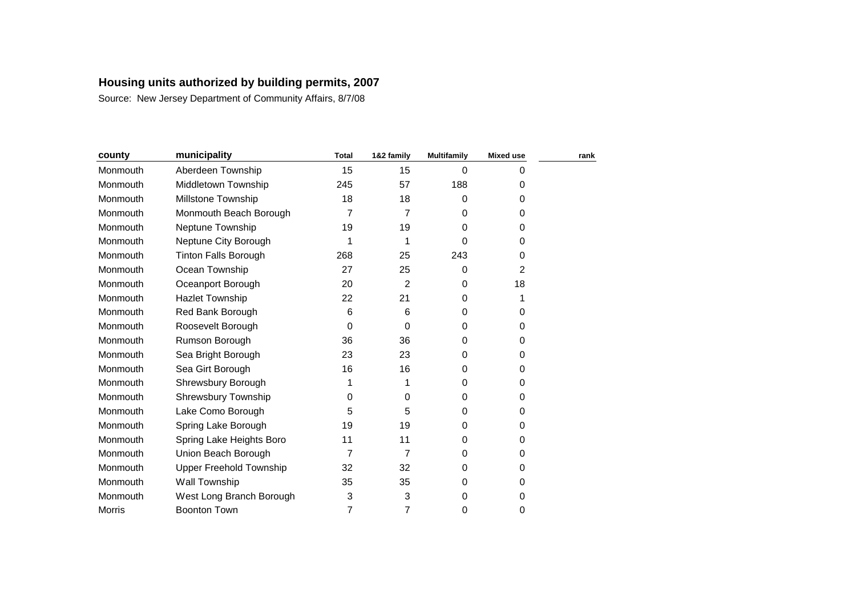| county        | municipality                   | <b>Total</b>   | 1&2 family     | <b>Multifamily</b> | <b>Mixed use</b> | rank |
|---------------|--------------------------------|----------------|----------------|--------------------|------------------|------|
| Monmouth      | Aberdeen Township              | 15             | 15             | $\Omega$           | 0                |      |
| Monmouth      | Middletown Township            | 245            | 57             | 188                | 0                |      |
| Monmouth      | Millstone Township             | 18             | 18             | 0                  | 0                |      |
| Monmouth      | Monmouth Beach Borough         | $\overline{7}$ | 7              | 0                  | 0                |      |
| Monmouth      | Neptune Township               | 19             | 19             | 0                  | 0                |      |
| Monmouth      | Neptune City Borough           | 1              | 1              | 0                  | 0                |      |
| Monmouth      | <b>Tinton Falls Borough</b>    | 268            | 25             | 243                | 0                |      |
| Monmouth      | Ocean Township                 | 27             | 25             | 0                  | 2                |      |
| Monmouth      | Oceanport Borough              | 20             | $\overline{2}$ | 0                  | 18               |      |
| Monmouth      | <b>Hazlet Township</b>         | 22             | 21             | 0                  | 1                |      |
| Monmouth      | Red Bank Borough               | 6              | 6              | $\Omega$           | 0                |      |
| Monmouth      | Roosevelt Borough              | 0              | 0              | 0                  | 0                |      |
| Monmouth      | Rumson Borough                 | 36             | 36             | $\Omega$           | 0                |      |
| Monmouth      | Sea Bright Borough             | 23             | 23             | $\Omega$           | 0                |      |
| Monmouth      | Sea Girt Borough               | 16             | 16             | 0                  | 0                |      |
| Monmouth      | Shrewsbury Borough             | 1              |                | 0                  | 0                |      |
| Monmouth      | <b>Shrewsbury Township</b>     | 0              | 0              | $\Omega$           | 0                |      |
| Monmouth      | Lake Como Borough              | 5              | 5              | $\Omega$           | 0                |      |
| Monmouth      | Spring Lake Borough            | 19             | 19             | $\Omega$           | 0                |      |
| Monmouth      | Spring Lake Heights Boro       | 11             | 11             | $\Omega$           | 0                |      |
| Monmouth      | Union Beach Borough            | $\overline{7}$ | 7              | 0                  | 0                |      |
| Monmouth      | <b>Upper Freehold Township</b> | 32             | 32             | 0                  | 0                |      |
| Monmouth      | Wall Township                  | 35             | 35             | 0                  | 0                |      |
| Monmouth      | West Long Branch Borough       | 3              | 3              | $\Omega$           | 0                |      |
| <b>Morris</b> | <b>Boonton Town</b>            | 7              | 7              | 0                  | 0                |      |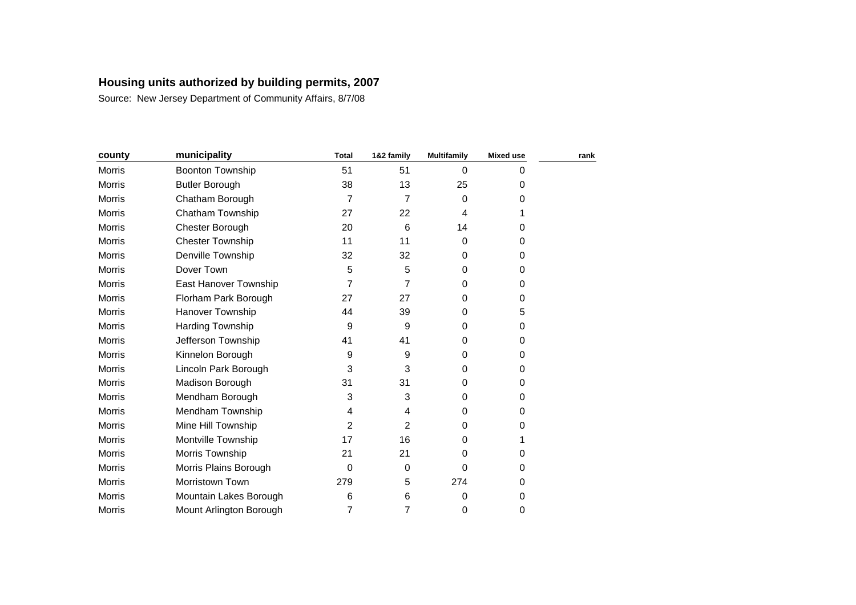| county        | municipality            | <b>Total</b>     | 1&2 family  | <b>Multifamily</b> | <b>Mixed use</b> | rank |
|---------------|-------------------------|------------------|-------------|--------------------|------------------|------|
| <b>Morris</b> | <b>Boonton Township</b> | 51               | 51          | $\Omega$           | 0                |      |
| Morris        | <b>Butler Borough</b>   | 38               | 13          | 25                 | 0                |      |
| <b>Morris</b> | Chatham Borough         | 7                | 7           | 0                  | 0                |      |
| <b>Morris</b> | Chatham Township        | 27               | 22          | 4                  | 1                |      |
| Morris        | Chester Borough         | 20               | 6           | 14                 | 0                |      |
| Morris        | <b>Chester Township</b> | 11               | 11          | 0                  | 0                |      |
| <b>Morris</b> | Denville Township       | 32               | 32          | 0                  | 0                |      |
| <b>Morris</b> | Dover Town              | 5                | 5           | 0                  | 0                |      |
| Morris        | East Hanover Township   | $\overline{7}$   | 7           | 0                  | 0                |      |
| <b>Morris</b> | Florham Park Borough    | 27               | 27          | $\Omega$           | 0                |      |
| <b>Morris</b> | Hanover Township        | 44               | 39          | $\Omega$           | 5                |      |
| Morris        | Harding Township        | $\boldsymbol{9}$ | 9           | $\Omega$           | 0                |      |
| Morris        | Jefferson Township      | 41               | 41          | 0                  | 0                |      |
| <b>Morris</b> | Kinnelon Borough        | 9                | 9           | 0                  | 0                |      |
| <b>Morris</b> | Lincoln Park Borough    | 3                | 3           | 0                  | 0                |      |
| Morris        | Madison Borough         | 31               | 31          | 0                  | 0                |      |
| Morris        | Mendham Borough         | 3                | 3           | $\Omega$           | 0                |      |
| <b>Morris</b> | Mendham Township        | 4                | 4           | $\Omega$           | 0                |      |
| <b>Morris</b> | Mine Hill Township      | 2                | 2           | 0                  | 0                |      |
| Morris        | Montville Township      | 17               | 16          | $\Omega$           | 1                |      |
| <b>Morris</b> | Morris Township         | 21               | 21          | 0                  | 0                |      |
| <b>Morris</b> | Morris Plains Borough   | $\mathbf 0$      | $\mathbf 0$ | $\Omega$           | 0                |      |
| Morris        | Morristown Town         | 279              | 5           | 274                | 0                |      |
| Morris        | Mountain Lakes Borough  | 6                | 6           | 0                  | 0                |      |
| <b>Morris</b> | Mount Arlington Borough | 7                | 7           | 0                  | 0                |      |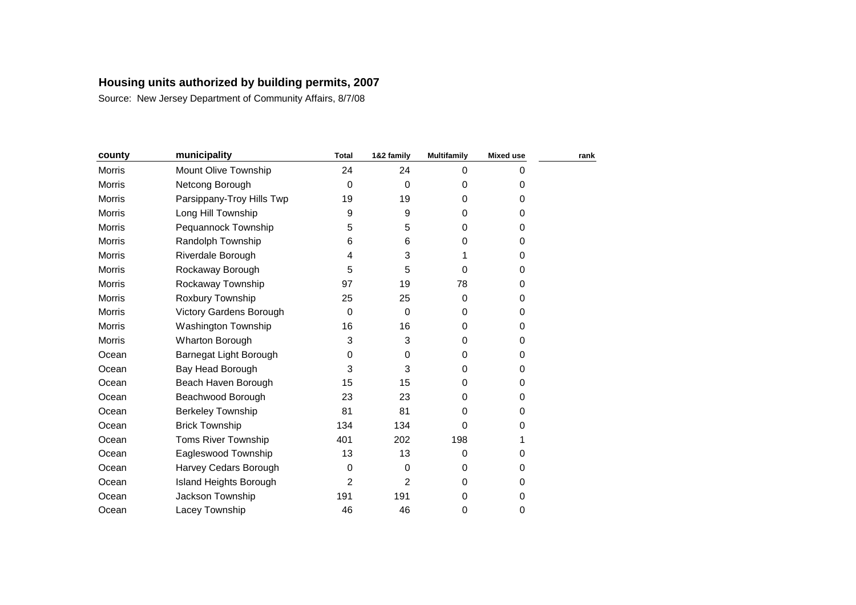| county        | municipality               | <b>Total</b> | 1&2 family | <b>Multifamily</b> | <b>Mixed use</b> | rank |
|---------------|----------------------------|--------------|------------|--------------------|------------------|------|
| Morris        | Mount Olive Township       | 24           | 24         | 0                  | 0                |      |
| <b>Morris</b> | Netcong Borough            | 0            | $\Omega$   | $\Omega$           | 0                |      |
| Morris        | Parsippany-Troy Hills Twp  | 19           | 19         | 0                  | 0                |      |
| <b>Morris</b> | Long Hill Township         | 9            | 9          | 0                  | 0                |      |
| Morris        | Pequannock Township        | 5            | 5          | $\Omega$           | 0                |      |
| <b>Morris</b> | Randolph Township          | 6            | 6          | 0                  | 0                |      |
| Morris        | Riverdale Borough          | 4            | 3          |                    | 0                |      |
| Morris        | Rockaway Borough           | 5            | 5          | 0                  | 0                |      |
| <b>Morris</b> | Rockaway Township          | 97           | 19         | 78                 | 0                |      |
| Morris        | Roxbury Township           | 25           | 25         | $\Omega$           | 0                |      |
| <b>Morris</b> | Victory Gardens Borough    | 0            | $\Omega$   | $\Omega$           | 0                |      |
| Morris        | Washington Township        | 16           | 16         | 0                  | 0                |      |
| <b>Morris</b> | <b>Wharton Borough</b>     | 3            | 3          | 0                  | 0                |      |
| Ocean         | Barnegat Light Borough     | 0            | 0          | $\Omega$           | 0                |      |
| Ocean         | Bay Head Borough           | 3            | 3          | 0                  | 0                |      |
| Ocean         | Beach Haven Borough        | 15           | 15         | 0                  | 0                |      |
| Ocean         | Beachwood Borough          | 23           | 23         | 0                  | 0                |      |
| Ocean         | <b>Berkeley Township</b>   | 81           | 81         | 0                  | 0                |      |
| Ocean         | <b>Brick Township</b>      | 134          | 134        | 0                  | 0                |      |
| Ocean         | <b>Toms River Township</b> | 401          | 202        | 198                |                  |      |
| Ocean         | Eagleswood Township        | 13           | 13         | 0                  | 0                |      |
| Ocean         | Harvey Cedars Borough      | 0            | $\Omega$   | 0                  | 0                |      |
| Ocean         | Island Heights Borough     | 2            | 2          | 0                  | 0                |      |
| Ocean         | Jackson Township           | 191          | 191        | 0                  | 0                |      |
| Ocean         | Lacey Township             | 46           | 46         | 0                  | 0                |      |
|               |                            |              |            |                    |                  |      |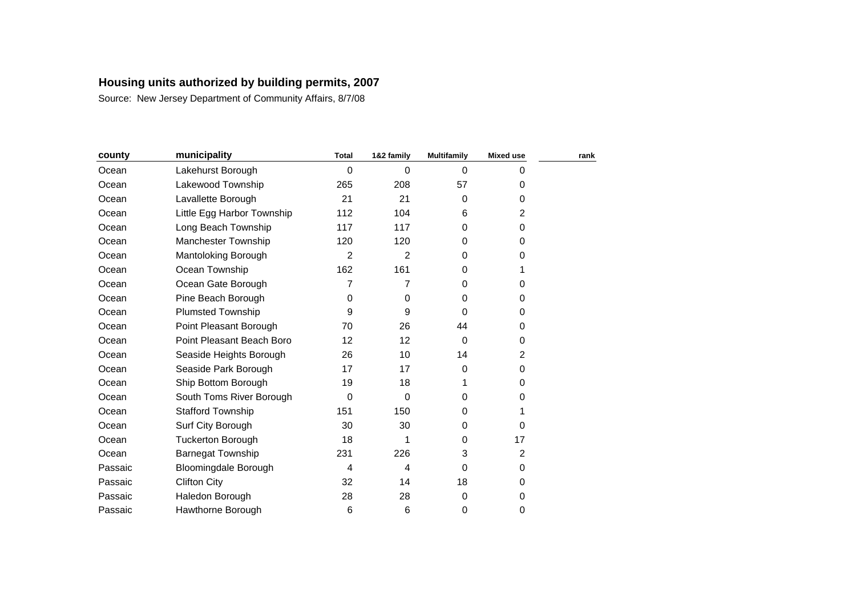| county  | municipality                | <b>Total</b>   | 1&2 family | <b>Multifamily</b> | <b>Mixed use</b> | rank |
|---------|-----------------------------|----------------|------------|--------------------|------------------|------|
| Ocean   | Lakehurst Borough           | 0              | $\Omega$   | $\Omega$           | 0                |      |
| Ocean   | Lakewood Township           | 265            | 208        | 57                 | 0                |      |
| Ocean   | Lavallette Borough          | 21             | 21         | 0                  | 0                |      |
| Ocean   | Little Egg Harbor Township  | 112            | 104        | 6                  | 2                |      |
| Ocean   | Long Beach Township         | 117            | 117        | 0                  | 0                |      |
| Ocean   | <b>Manchester Township</b>  | 120            | 120        | 0                  | 0                |      |
| Ocean   | Mantoloking Borough         | $\overline{2}$ | 2          | $\Omega$           | 0                |      |
| Ocean   | Ocean Township              | 162            | 161        | 0                  | 1                |      |
| Ocean   | Ocean Gate Borough          | 7              | 7          | $\Omega$           | 0                |      |
| Ocean   | Pine Beach Borough          | 0              | 0          | 0                  | 0                |      |
| Ocean   | <b>Plumsted Township</b>    | 9              | 9          | $\Omega$           | 0                |      |
| Ocean   | Point Pleasant Borough      | 70             | 26         | 44                 | 0                |      |
| Ocean   | Point Pleasant Beach Boro   | 12             | 12         | $\Omega$           | 0                |      |
| Ocean   | Seaside Heights Borough     | 26             | 10         | 14                 | 2                |      |
| Ocean   | Seaside Park Borough        | 17             | 17         | 0                  | 0                |      |
| Ocean   | Ship Bottom Borough         | 19             | 18         |                    | 0                |      |
| Ocean   | South Toms River Borough    | 0              | 0          | $\Omega$           | 0                |      |
| Ocean   | <b>Stafford Township</b>    | 151            | 150        | 0                  | 1                |      |
| Ocean   | Surf City Borough           | 30             | 30         | $\Omega$           | 0                |      |
| Ocean   | <b>Tuckerton Borough</b>    | 18             |            | $\Omega$           | 17               |      |
| Ocean   | <b>Barnegat Township</b>    | 231            | 226        | 3                  | $\overline{c}$   |      |
| Passaic | <b>Bloomingdale Borough</b> | 4              | 4          | $\Omega$           | 0                |      |
| Passaic | <b>Clifton City</b>         | 32             | 14         | 18                 | 0                |      |
| Passaic | Haledon Borough             | 28             | 28         | 0                  | 0                |      |
| Passaic | Hawthorne Borough           | 6              | 6          | 0                  | 0                |      |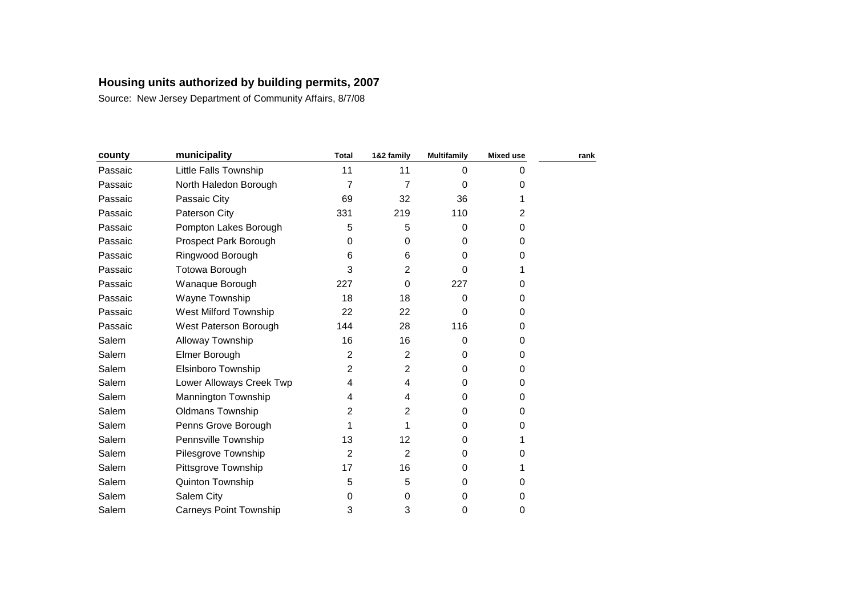| county  | municipality                  | <b>Total</b>   | 1&2 family     | <b>Multifamily</b> | <b>Mixed use</b> | rank |
|---------|-------------------------------|----------------|----------------|--------------------|------------------|------|
| Passaic | Little Falls Township         | 11             | 11             | $\Omega$           | 0                |      |
| Passaic | North Haledon Borough         | 7              | 7              | 0                  | 0                |      |
| Passaic | Passaic City                  | 69             | 32             | 36                 |                  |      |
| Passaic | Paterson City                 | 331            | 219            | 110                | 2                |      |
| Passaic | Pompton Lakes Borough         | 5              | 5              | $\Omega$           | 0                |      |
| Passaic | Prospect Park Borough         | 0              | 0              | $\Omega$           | 0                |      |
| Passaic | Ringwood Borough              | 6              | 6              | $\Omega$           | 0                |      |
| Passaic | Totowa Borough                | 3              | $\overline{2}$ | 0                  |                  |      |
| Passaic | Wanaque Borough               | 227            | 0              | 227                | 0                |      |
| Passaic | Wayne Township                | 18             | 18             | $\Omega$           | 0                |      |
| Passaic | West Milford Township         | 22             | 22             | $\Omega$           | 0                |      |
| Passaic | West Paterson Borough         | 144            | 28             | 116                | 0                |      |
| Salem   | Alloway Township              | 16             | 16             | $\Omega$           | 0                |      |
| Salem   | Elmer Borough                 | $\overline{2}$ | 2              | $\Omega$           | 0                |      |
| Salem   | Elsinboro Township            | 2              | 2              | $\Omega$           | 0                |      |
| Salem   | Lower Alloways Creek Twp      | 4              | 4              | $\Omega$           | 0                |      |
| Salem   | Mannington Township           | 4              | 4              | 0                  | 0                |      |
| Salem   | <b>Oldmans Township</b>       | 2              | 2              | $\Omega$           | 0                |      |
| Salem   | Penns Grove Borough           |                |                | $\Omega$           | 0                |      |
| Salem   | Pennsville Township           | 13             | 12             | $\Omega$           |                  |      |
| Salem   | Pilesgrove Township           | 2              | 2              | 0                  | 0                |      |
| Salem   | Pittsgrove Township           | 17             | 16             | 0                  |                  |      |
| Salem   | Quinton Township              | 5              | 5              | 0                  | 0                |      |
| Salem   | Salem City                    | 0              | 0              | 0                  | 0                |      |
| Salem   | <b>Carneys Point Township</b> | 3              | 3              | 0                  | 0                |      |
|         |                               |                |                |                    |                  |      |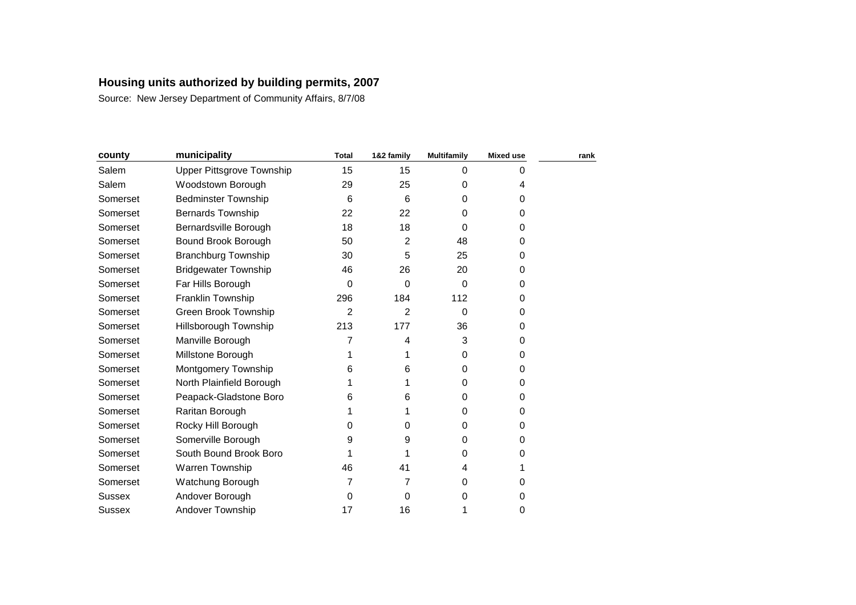| county   | municipality                | <b>Total</b>   | 1&2 family | <b>Multifamily</b> | <b>Mixed use</b> | rank |
|----------|-----------------------------|----------------|------------|--------------------|------------------|------|
| Salem    | Upper Pittsgrove Township   | 15             | 15         | $\Omega$           | 0                |      |
| Salem    | Woodstown Borough           | 29             | 25         | 0                  | 4                |      |
| Somerset | <b>Bedminster Township</b>  | 6              | 6          | 0                  | 0                |      |
| Somerset | <b>Bernards Township</b>    | 22             | 22         | 0                  | 0                |      |
| Somerset | Bernardsville Borough       | 18             | 18         | $\Omega$           | 0                |      |
| Somerset | Bound Brook Borough         | 50             | 2          | 48                 | 0                |      |
| Somerset | <b>Branchburg Township</b>  | 30             | 5          | 25                 | 0                |      |
| Somerset | <b>Bridgewater Township</b> | 46             | 26         | 20                 | 0                |      |
| Somerset | Far Hills Borough           | 0              | $\Omega$   | $\Omega$           | 0                |      |
| Somerset | Franklin Township           | 296            | 184        | 112                | 0                |      |
| Somerset | Green Brook Township        | $\overline{2}$ | 2          | $\Omega$           | 0                |      |
| Somerset | Hillsborough Township       | 213            | 177        | 36                 | 0                |      |
| Somerset | Manville Borough            | 7              | 4          | 3                  | 0                |      |
| Somerset | Millstone Borough           | 1              |            | 0                  | 0                |      |
| Somerset | Montgomery Township         | 6              | 6          | $\Omega$           | 0                |      |
| Somerset | North Plainfield Borough    | 1              |            | $\Omega$           | 0                |      |
| Somerset | Peapack-Gladstone Boro      | 6              | 6          | 0                  | 0                |      |
| Somerset | Raritan Borough             | 1              |            | $\Omega$           | 0                |      |
| Somerset | Rocky Hill Borough          | 0              | 0          | 0                  | 0                |      |
| Somerset | Somerville Borough          | 9              | 9          | 0                  | 0                |      |
| Somerset | South Bound Brook Boro      |                |            | 0                  | 0                |      |
| Somerset | Warren Township             | 46             | 41         | 4                  |                  |      |
| Somerset | Watchung Borough            | 7              |            | 0                  | 0                |      |
| Sussex   | Andover Borough             | 0              | 0          | 0                  | 0                |      |
| Sussex   | Andover Township            | 17             | 16         | 1                  | 0                |      |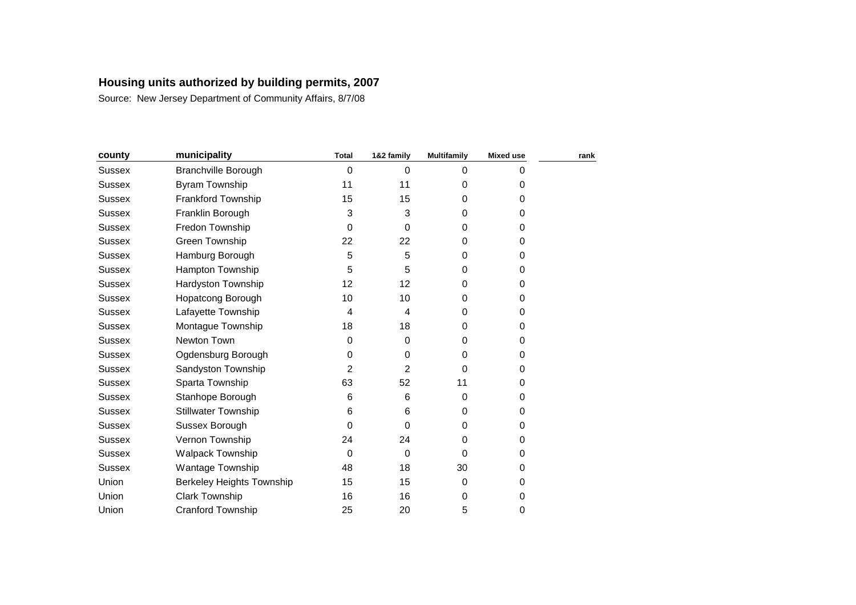| county        | municipality                     | <b>Total</b>     | 1&2 family  | <b>Multifamily</b> | <b>Mixed use</b> | rank |
|---------------|----------------------------------|------------------|-------------|--------------------|------------------|------|
| <b>Sussex</b> | <b>Branchville Borough</b>       | $\mathbf 0$      | $\Omega$    | $\Omega$           | 0                |      |
| <b>Sussex</b> | Byram Township                   | 11               | 11          | $\Omega$           | 0                |      |
| <b>Sussex</b> | Frankford Township               | 15               | 15          | 0                  | 0                |      |
| Sussex        | Franklin Borough                 | 3                | 3           | 0                  | 0                |      |
| <b>Sussex</b> | Fredon Township                  | 0                | 0           | 0                  | 0                |      |
| <b>Sussex</b> | Green Township                   | 22               | 22          | $\Omega$           | 0                |      |
| Sussex        | Hamburg Borough                  | 5                | 5           | 0                  | 0                |      |
| <b>Sussex</b> | <b>Hampton Township</b>          | 5                | 5           | $\Omega$           | 0                |      |
| <b>Sussex</b> | Hardyston Township               | 12               | 12          | 0                  | 0                |      |
| Sussex        | <b>Hopatcong Borough</b>         | 10               | 10          | $\Omega$           | 0                |      |
| <b>Sussex</b> | Lafayette Township               | 4                | 4           | $\Omega$           | 0                |      |
| Sussex        | Montague Township                | 18               | 18          | 0                  | 0                |      |
| <b>Sussex</b> | Newton Town                      | $\boldsymbol{0}$ | $\Omega$    | $\Omega$           | 0                |      |
| <b>Sussex</b> | Ogdensburg Borough               | 0                | 0           | 0                  | 0                |      |
| <b>Sussex</b> | Sandyston Township               | 2                | 2           | $\Omega$           | 0                |      |
| <b>Sussex</b> | Sparta Township                  | 63               | 52          | 11                 | 0                |      |
| Sussex        | Stanhope Borough                 | 6                | 6           | $\Omega$           | 0                |      |
| <b>Sussex</b> | <b>Stillwater Township</b>       | 6                | 6           | $\Omega$           | 0                |      |
| Sussex        | Sussex Borough                   | $\Omega$         | 0           | 0                  | 0                |      |
| Sussex        | Vernon Township                  | 24               | 24          | 0                  | 0                |      |
| <b>Sussex</b> | Walpack Township                 | 0                | $\mathbf 0$ | $\Omega$           | 0                |      |
| Sussex        | Wantage Township                 | 48               | 18          | 30                 | 0                |      |
| Union         | <b>Berkeley Heights Township</b> | 15               | 15          | 0                  | 0                |      |
| Union         | <b>Clark Township</b>            | 16               | 16          | 0                  | 0                |      |
| Union         | <b>Cranford Township</b>         | 25               | 20          | 5                  | 0                |      |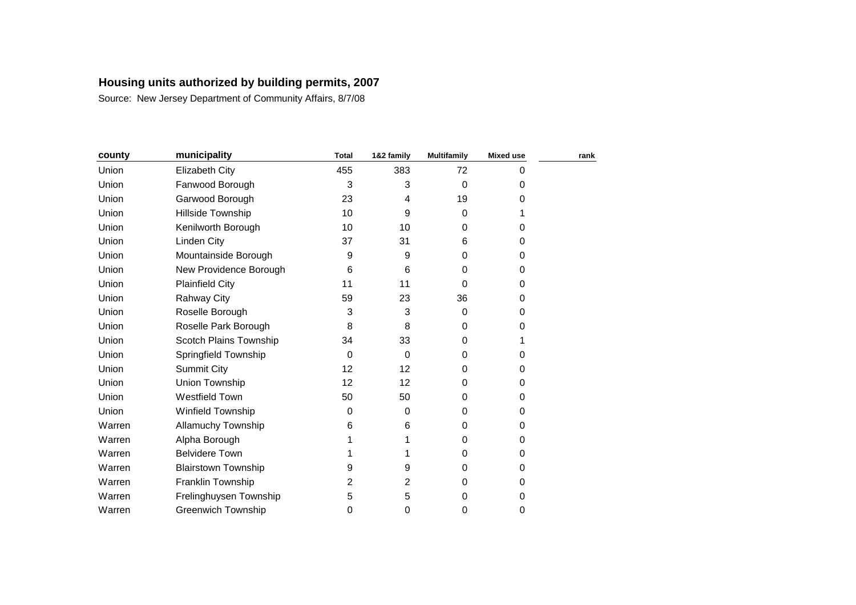| county | municipality               | <b>Total</b> | 1&2 family | <b>Multifamily</b> | <b>Mixed use</b> | rank |
|--------|----------------------------|--------------|------------|--------------------|------------------|------|
| Union  | Elizabeth City             | 455          | 383        | 72                 | 0                |      |
| Union  | Fanwood Borough            | 3            | 3          | $\mathbf 0$        | 0                |      |
| Union  | Garwood Borough            | 23           | 4          | 19                 | 0                |      |
| Union  | Hillside Township          | 10           | 9          | $\Omega$           |                  |      |
| Union  | Kenilworth Borough         | 10           | 10         | 0                  | 0                |      |
| Union  | Linden City                | 37           | 31         | 6                  | 0                |      |
| Union  | Mountainside Borough       | 9            | 9          | $\Omega$           | 0                |      |
| Union  | New Providence Borough     | 6            | 6          | 0                  | 0                |      |
| Union  | <b>Plainfield City</b>     | 11           | 11         | $\Omega$           | 0                |      |
| Union  | <b>Rahway City</b>         | 59           | 23         | 36                 | 0                |      |
| Union  | Roselle Borough            | 3            | 3          | $\Omega$           | 0                |      |
| Union  | Roselle Park Borough       | 8            | 8          | $\Omega$           | 0                |      |
| Union  | Scotch Plains Township     | 34           | 33         | 0                  |                  |      |
| Union  | Springfield Township       | 0            | $\Omega$   | 0                  | 0                |      |
| Union  | Summit City                | 12           | 12         | 0                  | 0                |      |
| Union  | Union Township             | 12           | 12         | 0                  | 0                |      |
| Union  | <b>Westfield Town</b>      | 50           | 50         | $\Omega$           | 0                |      |
| Union  | Winfield Township          | 0            | $\Omega$   | $\Omega$           | 0                |      |
| Warren | <b>Allamuchy Township</b>  | 6            | 6          | 0                  | 0                |      |
| Warren | Alpha Borough              |              |            | $\Omega$           | 0                |      |
| Warren | <b>Belvidere Town</b>      |              |            | 0                  | 0                |      |
| Warren | <b>Blairstown Township</b> | 9            | 9          | $\Omega$           | 0                |      |
| Warren | Franklin Township          | 2            | 2          | $\Omega$           | 0                |      |
| Warren | Frelinghuysen Township     | 5            | 5          | 0                  | 0                |      |
| Warren | <b>Greenwich Township</b>  | 0            | 0          | 0                  | 0                |      |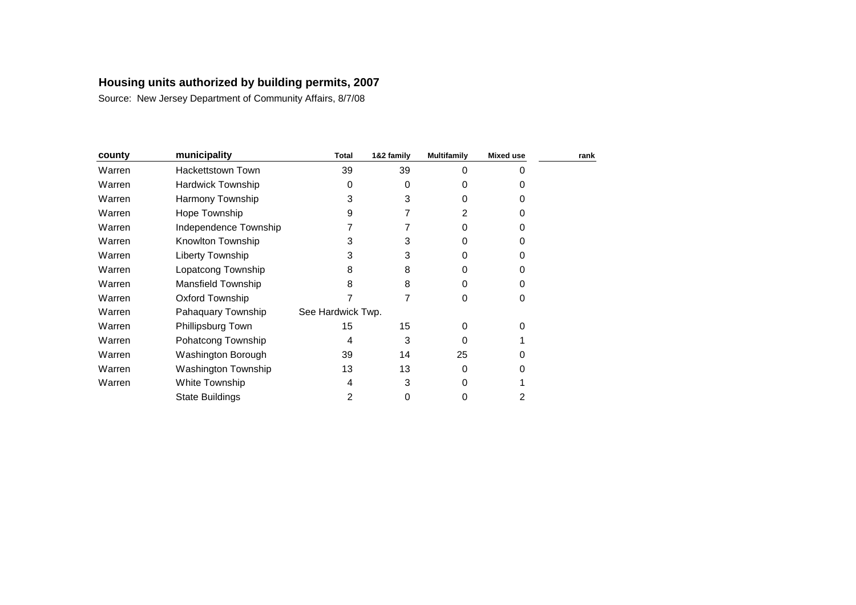| county | municipality             | <b>Total</b>      | 1&2 family | <b>Multifamily</b> | <b>Mixed use</b> | rank |
|--------|--------------------------|-------------------|------------|--------------------|------------------|------|
| Warren | Hackettstown Town        | 39                | 39         | 0                  | U                |      |
| Warren | <b>Hardwick Township</b> | 0                 | 0          | 0                  | 0                |      |
| Warren | Harmony Township         | 3                 | 3          | 0                  | 0                |      |
| Warren | Hope Township            | 9                 |            | 2                  | 0                |      |
| Warren | Independence Township    |                   |            | Ω                  | 0                |      |
| Warren | Knowlton Township        | 3                 | 3          | Ω                  | O                |      |
| Warren | Liberty Township         | 3                 | 3          | O                  | 0                |      |
| Warren | Lopatcong Township       | 8                 | 8          | O                  | 0                |      |
| Warren | Mansfield Township       | 8                 | 8          | O                  | 0                |      |
| Warren | <b>Oxford Township</b>   |                   |            | 0                  | 0                |      |
| Warren | Pahaquary Township       | See Hardwick Twp. |            |                    |                  |      |
| Warren | Phillipsburg Town        | 15                | 15         | 0                  | 0                |      |
| Warren | Pohatcong Township       | 4                 | 3          | 0                  |                  |      |
| Warren | Washington Borough       | 39                | 14         | 25                 | O                |      |
| Warren | Washington Township      | 13                | 13         | 0                  |                  |      |
| Warren | White Township           | 4                 | 3          | Ω                  |                  |      |
|        | <b>State Buildings</b>   | 2                 | 0          | 0                  | 2                |      |